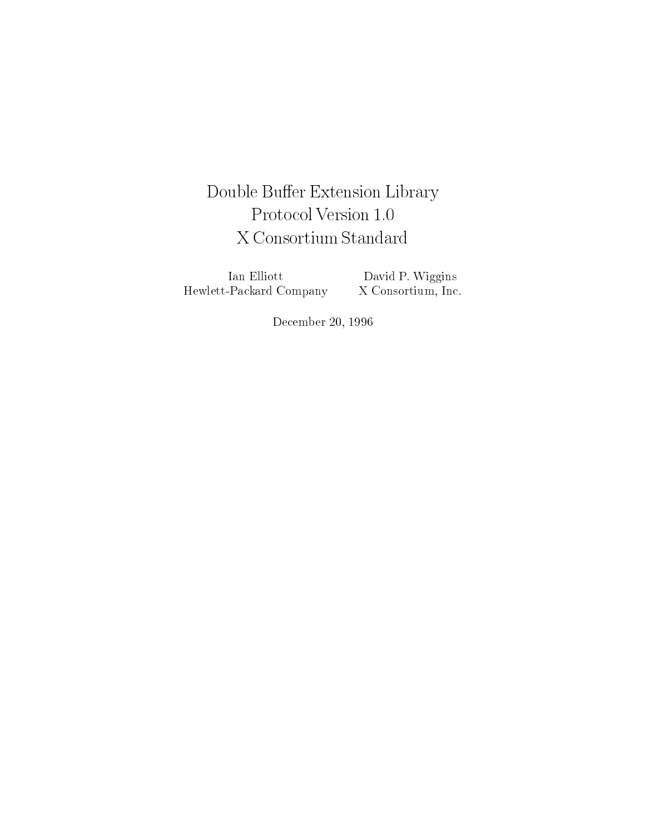# Double Buffer Extension Library Protocol Version 1.0 <sup>X</sup> Consortium Standard

Hewlett-Packard Company

David P. Wiggins x = x consortium, Inc.

December 20, <sup>1996</sup>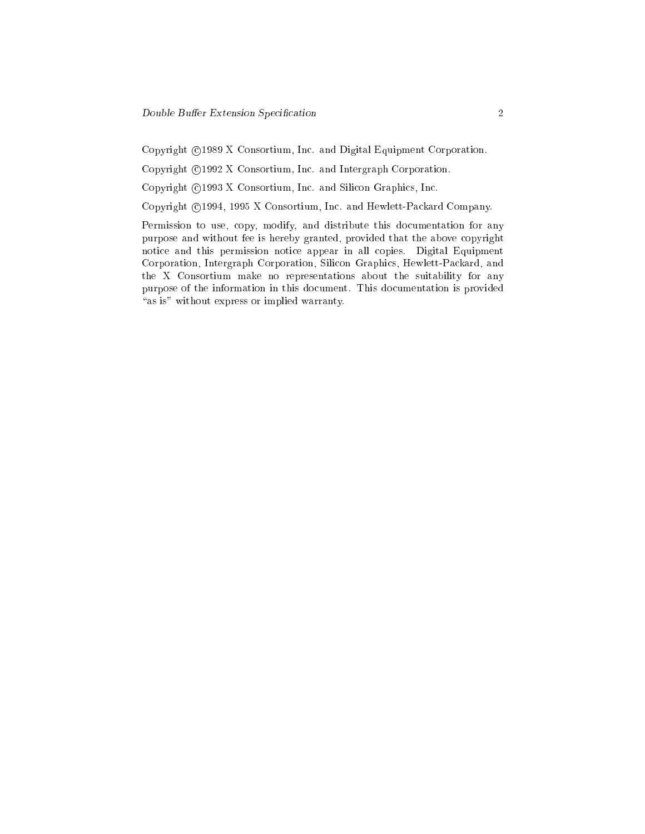Copyright ©1989 X Consortium, Inc. and Digital Equipment Corporation.

Copyright ©1992 X Consortium, Inc. and Intergraph Corporation.

Copyright ©1993 X Consortium, Inc. and Silicon Graphics, Inc.

Copyright ©1994, 1995 X Consortium, Inc. and Hewlett-Packard Company.

Permission to use, copy, modify, and distribute this documentation for any purpose and without fee is hereby granted, provided that the above copyright notice and this permission notice appear in all copies. Digital Equipment Corporation, Intergraph Corporation, Silicon Graphics, Hewlett-Packard, and the X Consortium make no representations about the suitability for any purpose of the information in this document. This documentation is provided "as is" without express or implied warranty.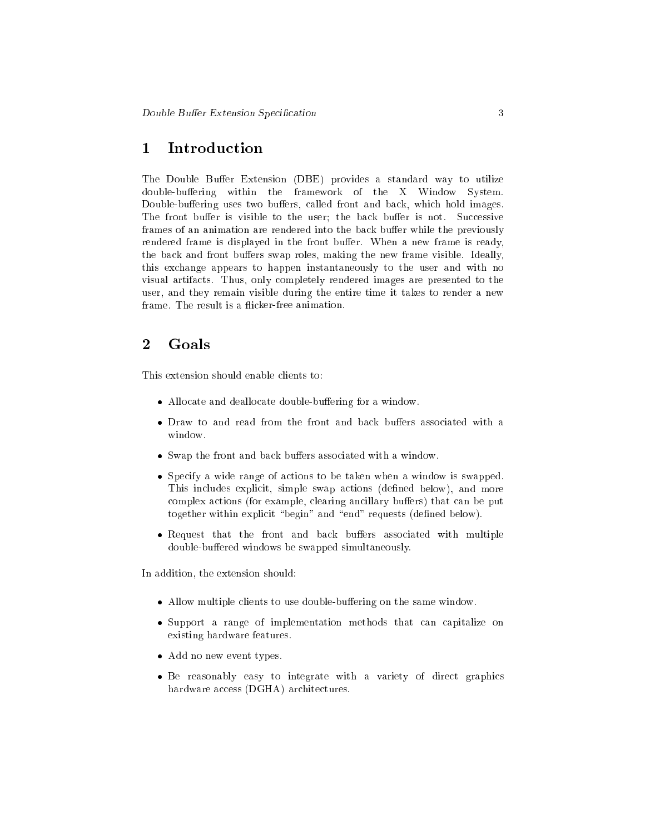#### Introduction  $\mathbf 1$

The Double Buffer Extension (DBE) provides a standard way to utilize double-buffering within the framework of the X Window System. Double-buffering uses two buffers, called front and back, which hold images. The front buffer is visible to the user; the back buffer is not. Successive frames of an animation are rendered into the back buffer while the previously rendered frame is displayed in the front buffer. When a new frame is ready, the back and front buffers swap roles, making the new frame visible. Ideally, this exchange appears to happen instantaneously to the user and with no visual artifacts. Thus, only completely rendered images are presented to the user, and they remain visible during the entire time it takes to render a new frame. The result is a flicker-free animation.

#### $\overline{2}$ Goals

This extension should enable clients to:

- Allocate and deallocate double-buffering for a window.
- Draw to and read from the front and back buffers associated with a window.
- Swap the front and back buffers associated with a window.
- Specify a wide range of actions to be taken when a window is swapped. This includes explicit, simple swap actions (defined below), and more complex actions (for example, clearing ancillary buffers) that can be put together within explicit "begin" and "end" requests (defined below).
- $\bullet$  Request that the front and back buffers associated with multiple double-buffered windows be swapped simultaneously.

In addition, the extension should:

- Allow multiple clients to use double-buffering on the same window.
- Support a range of implementation methods that can capitalize on existing hardware features.
- Add no new event types.
- Be reasonably easy to integrate with a variety of direct graphics hardware access (DGHA) architectures.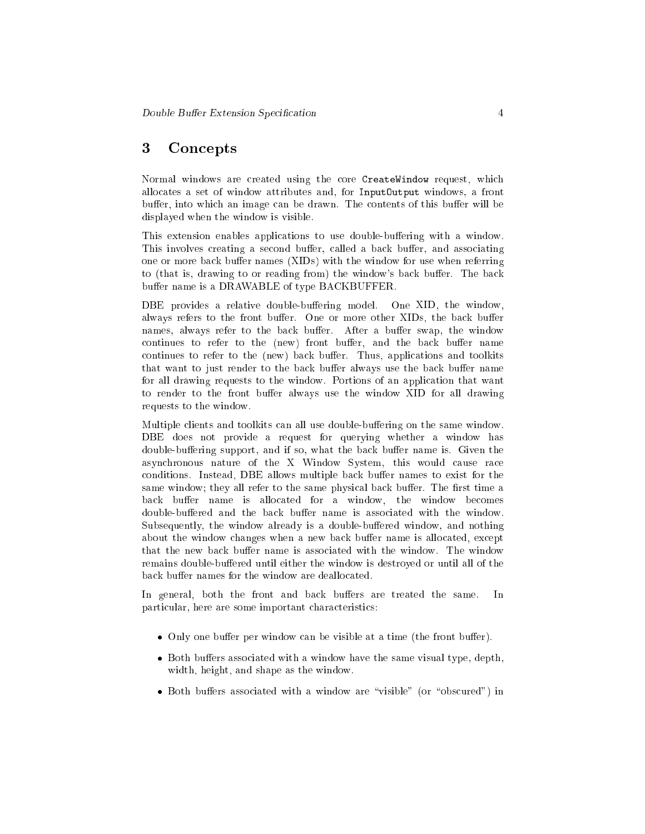#### 3 **Concepts**

Normal windows are created using the core CreateWindow request, which allocates a set of window attributes and, for InputOutput windows, a front buffer, into which an image can be drawn. The contents of this buffer will be displayed when the window is visible.

This extension enables applications to use double-buffering with a window. This involves creating a second buffer, called a back buffer, and associating one or more back buffer names (XIDs) with the window for use when referring to (that is, drawing to or reading from) the window's back buffer. The back buffer name is a DRAWABLE of type BACKBUFFER.

DBE provides a relative double-buffering model. One XID, the window, always refers to the front buffer. One or more other XIDs, the back buffer names, always refer to the back buffer. After a buffer swap, the window continues to refer to the (new) front buffer, and the back buffer name continues to refer to the (new) back buffer. Thus, applications and toolkits that want to just render to the back buffer always use the back buffer name for all drawing requests to the window. Portions of an application that want to render to the front buffer always use the window XID for all drawing requests to the window.

Multiple clients and toolkits can all use double-buffering on the same window. DBE does not provide a request for querying whether a window has double-buffering support, and if so, what the back buffer name is. Given the asynchronous nature of the X Window System, this would cause race conditions. Instead, DBE allows multiple back buffer names to exist for the same window; they all refer to the same physical back buffer. The first time a back buffer name is allocated for a window, the window becomes double-buffered and the back buffer name is associated with the window. Subsequently, the window already is a double-buffered window, and nothing about the window changes when a new back buffer name is allocated, except that the new back buffer name is associated with the window. The window remains double-buffered until either the window is destroyed or until all of the back buffer names for the window are deallocated.

In general, both the front and back buffers are treated the same.  $In$ particular, here are some important characteristics:

- Only one buffer per window can be visible at a time (the front buffer).
- $\bullet$  Both buffers associated with a window have the same visual type, depth, width, height, and shape as the window.
- $\bullet$  Both buffers associated with a window are "visible" (or "obscured") in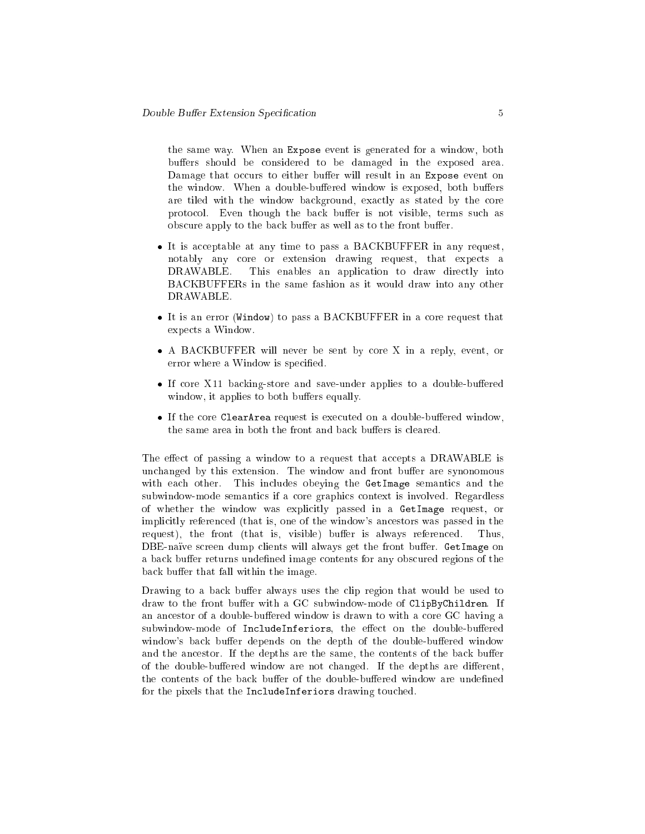the same way. When an Expose event is generated for a window, both buffers should be considered to be damaged in the exposed area. Damage that occurs to either buffer will result in an Expose event on the window. When a double-buffered window is exposed, both buffers are tiled with the window background, exactly as stated by the core protocol. Even though the back buffer is not visible, terms such as obscure apply to the back buffer as well as to the front buffer.

- It is acceptable at any time to pass a BACKBUFFER in any request, notably any core or extension drawing request, that expects a DRAWABLE. This enables an application to draw directly into BACKBUFFERs in the same fashion as it would draw into any other DRAWABLE.
- It is an error (Window) to pass a BACKBUFFER in a core request that expects a Window.
- A BACKBUFFER will never be sent by core X in a reply, event, or error where a Window is specified.
- $\bullet$  If core X11 backing-store and save-under applies to a double-buffered window, it applies to both buffers equally.
- $\bullet$  If the core ClearArea request is executed on a double-buffered window, the same area in both the front and back buffers is cleared.

The effect of passing a window to a request that accepts a DRAWABLE is unchanged by this extension. The window and front buffer are synonomous with each other. This includes obeying the GetImage semantics and the subwindow-mode semantics if a core graphics context is involved. Regardless of whether the window was explicitly passed in a GetImage request, or implicitly referenced (that is, one of the window's ancestors was passed in the request), the front (that is, visible) buffer is always referenced. Thus, DBE-naïve screen dump clients will always get the front buffer. GetImage on a back buffer returns undefined image contents for any obscured regions of the back buffer that fall within the image.

Drawing to a back buffer always uses the clip region that would be used to draw to the front buffer with a GC subwindow-mode of ClipByChildren. If an ancestor of a double-buffered window is drawn to with a core GC having a subwindow-mode of IncludeInferiors, the effect on the double-buffered window's back buffer depends on the depth of the double-buffered window and the ancestor. If the depths are the same, the contents of the back buffer of the double-buffered window are not changed. If the depths are different, the contents of the back buffer of the double-buffered window are undefined for the pixels that the IncludeInferiors drawing touched.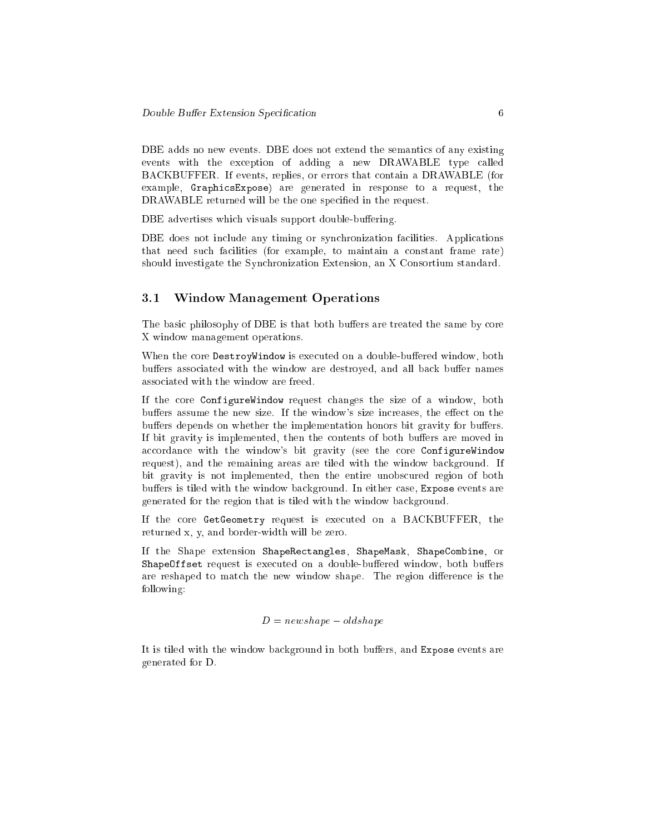DBE adds no new events. DBE does not extend the semantics of any existing events with the exception of adding a new DRAWABLE type called BACKBUFFER. If events, replies, or errors that contain a DRAWABLE (for example, GraphicsExpose) are generated in response to a request, the DRAWABLE returned will be the one specified in the request.

DBE advertises which visuals support double-buffering.

DBE does not include any timing or synchronization facilities. Applications that need such facilities (for example, to maintain a constant frame rate) should investigate the Synchronization Extension, an X Consortium standard.

## 3.1 Window Management Operations

The basic philosophy of DBE is that both buffers are treated the same by core X window management operations.

When the core DestroyWindow is executed on a double-buffered window, both buffers associated with the window are destroyed, and all back buffer names associated with the window are freed.

If the core ConfigureWindow request changes the size of a window, both buffers assume the new size. If the window's size increases, the effect on the buffers depends on whether the implementation honors bit gravity for buffers. If bit gravity is implemented, then the contents of both buffers are moved in accordance with the window's bit gravity (see the core ConfigureWindow request), and the remaining areas are tiled with the window background. If bit gravity is not implemented, then the entire unobscured region of both buffers is tiled with the window background. In either case, Expose events are generated for the region that is tiled with the window background.

If the core GetGeometry request is executed on a BACKBUFFER, the returned x, y, and border-width will be zero.

If the Shape extension ShapeRectangles, ShapeMask, ShapeCombine, or ShapeOffset request is executed on a double-buffered window, both buffers are reshaped to match the new window shape. The region difference is the following:

## $D = newshape - oldshape$

It is tiled with the window background in both buffers, and Expose events are generated for D.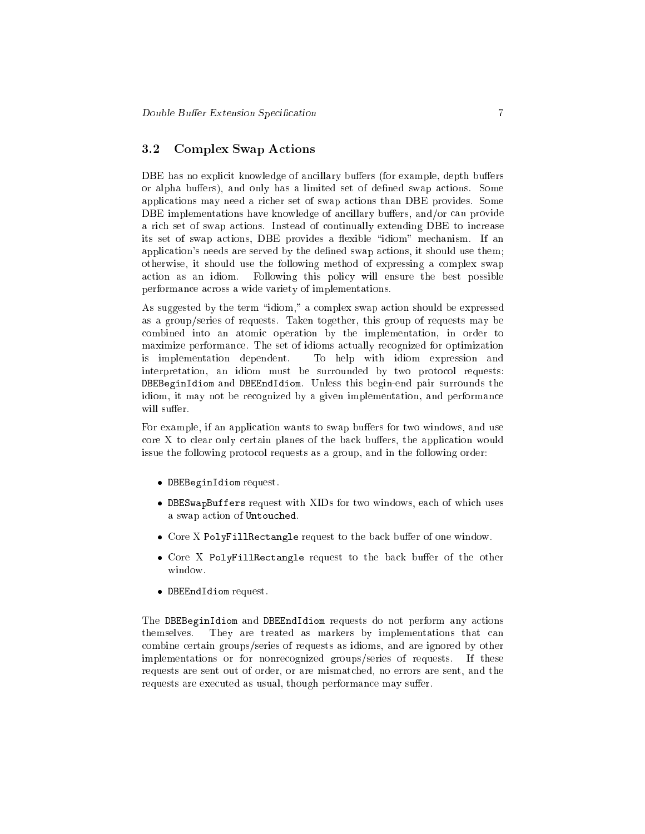#### 3.2 Complex Swap Actions

DBE has no explicit knowledge of ancillary buffers (for example, depth buffers or alpha buffers), and only has a limited set of defined swap actions. Some applications may need a richer set of swap actions than DBE provides. Some DBE implementations have knowledge of ancillary buffers, and/or can provide a rich set of swap actions. Instead of continually extending DBE to increase its set of swap actions, DBE provides a flexible "idiom" mechanism. If an application's needs are served by the defined swap actions, it should use them; otherwise, it should use the following method of expressing a complex swap action as an idiom. Following this policy will ensure the best possible performance across a wide variety of implementations.

As suggested by the term "idiom," a complex swap action should be expressed as a group/series of requests. Taken together, this group of requests may be combined into an atomic operation by the implementation, in order to maximize performance. The set of idioms actually recognized for optimization is implementation dependent. To help with idiom expression and interpretation, an idiom must be surrounded by two protocol requests: DBEBeginIdiom and DBEEndIdiom. Unless this begin-end pair surrounds the idiom, it may not be recognized by a given implementation, and performance will suffer.

For example, if an application wants to swap buffers for two windows, and use  $\overline{c}$  core X to clear only certain planes of the back buffers, the application would issue the following protocol requests as a group, and in the following order:

- DBEBeginIdiom request.
- DBESwapBuffers request with XIDs for two windows, each of which uses a swap action of Untouched.
- Core X PolyFillRectangle request to the back buffer of one window.
- $\bullet$  Core X PolyFillRectangle request to the back buffer of the other window.
- DBEEndIdiom request.

The DBEBeginIdiom and DBEEndIdiom requests do not perform any actions themselves. They are treated as markers by implementations that can combine certain groups/series of requests as idioms, and are ignored by other implementations or for nonrecognized groups/series of requests. If these requests are sent out of order, or are mismatched, no errors are sent, and the requests are executed as usual, though performance may suffer.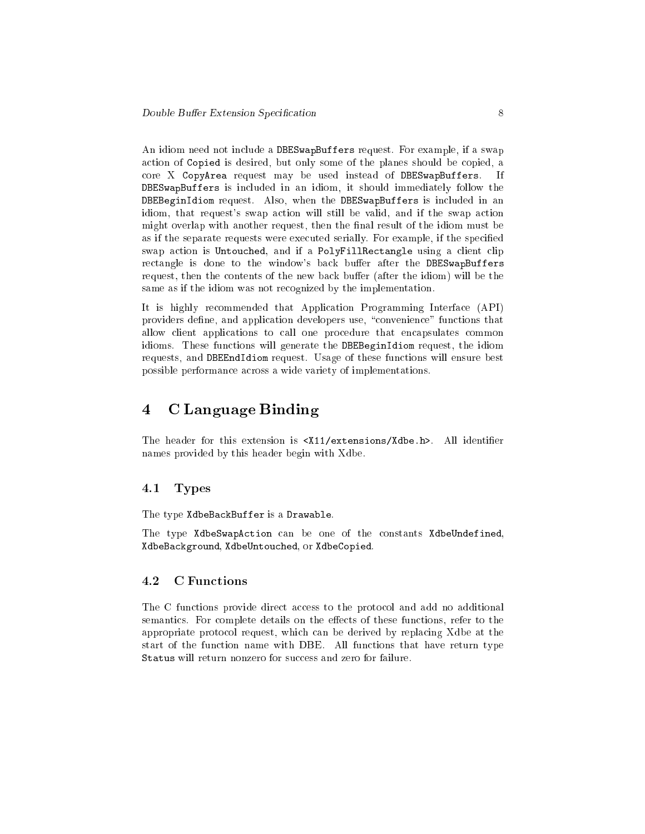An idiom need not include a DBESwapBuffers request. For example, if a swap action of Copied is desired, but only some of the planes should be copied, a core  $X$  CopyArea request may be used instead of DBESwapBuffers. - Tf DBESwapBuffers is included in an idiom, it should immediately follow the DBEBeginIdiom request. Also, when the DBESwapBuffers is included in an idiom, that request's swap action will still be valid, and if the swap action might overlap with another request, then the final result of the idiom must be as if the separate requests were executed serially. For example, if the specied swap action is Untouched, and if a PolyFillRectangle using a client clip rectangle is done to the window's back buffer after the DBESwapBuffers request, then the contents of the new back buffer (after the idiom) will be the same as if the idiom was not recognized by the implementation.

It is highly recommended that Application Programming Interface (API) providers define, and application developers use, "convenience" functions that allow client applications to call one procedure that encapsulates common idioms. These functions will generate the DBEBeginIdiom request, the idiom requests, and DBEEndIdiom request. Usage of these functions will ensure best possible performance across a wide variety of implementations.

#### $\overline{\mathbf{4}}$ 4 <sup>C</sup> Language Binding

The header for this extension is <X11/extensions/Xdbe.h>. All identifier names provided by this header begin with Xdbe.

#### 4.1 **Types**

The type XdbeBackBuffer is a Drawable.

The type XdbeSwapAction can be one of the constants XdbeUndefined, XdbeBackground, XdbeUntouched, or XdbeCopied.

#### 4.2 C Functions

The C functions provide direct access to the protocol and add no additional semantics. For complete details on the effects of these functions, refer to the appropriate protocol request, which can be derived by replacing Xdbe at the start of the function name with DBE. All functions that have return type Status will return nonzero for success and zero for failure.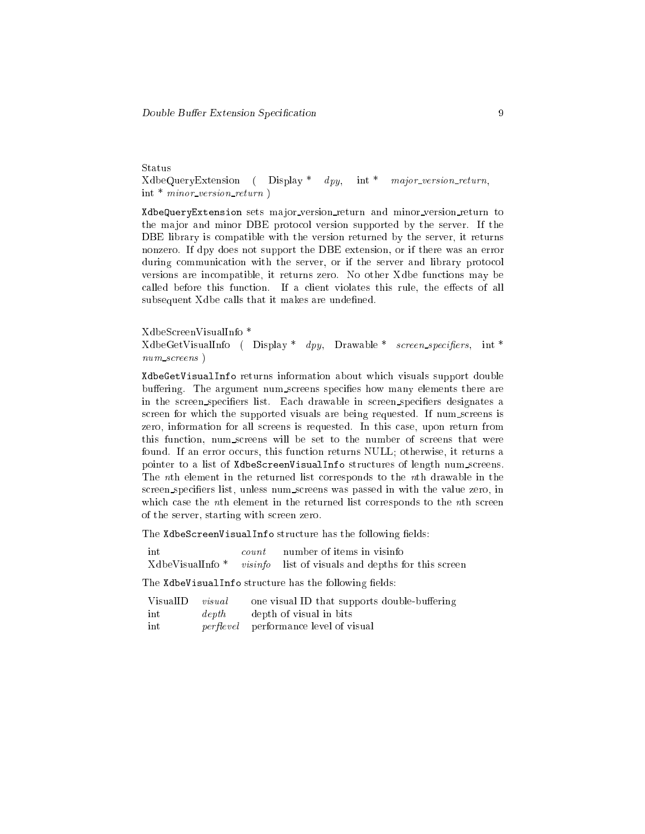$X$ dbeQueryExtension ( Display \*  $dpy$ , int \* major\_version\_return, int  $*$  minor\_version\_return )

XdbeQueryExtension sets ma jor version return and minor version return to the major and minor DBE protocol version supported by the server. If the DBE library is compatible with the version returned by the server, it returns nonzero. If dpy does not support the DBE extension, or if there was an error during communication with the server, or if the server and library protocol versions are incompatible, it returns zero. No other Xdbe functions may be called before this function. If a client violates this rule, the effects of all subsequent Xdbe calls that it makes are undefined.

### XdbeScreenVisualInfo<sup>\*</sup>

 $X$ dbeGetVisualInfo ( Display \*  $dpy$ , Drawable \* screen\_specifiers, int \* num\_screens )

XdbeGetVisualInfo returns information about which visuals support double buffering. The argument num screens specifies how many elements there are in the screen specifiers list. Each drawable in screen specifiers designates a screen for which the supported visuals are being requested. If num screens is zero, information for all screens is requested. In this case, upon return from this function, num screens will be set to the number of screens that were found. If an error occurs, this function returns NULL; otherwise, it returns a pointer to a list of XdbeScreenVisualInfo structures of length num screens. The nth element in the returned list corresponds to the nth drawable in the screen\_specifiers list, unless num\_screens was passed in with the value zero, in which case the *n*th element in the returned list corresponds to the *n*th screen of the server, starting with screen zero.

The XdbeScreenVisualInfo structure has the following fields:

| int | <i>count</i> number of items in visinfo                                               |
|-----|---------------------------------------------------------------------------------------|
|     | XdbeVisualInfo <sup>*</sup> <i>visinfo</i> list of visuals and depths for this screen |

The XdbeVi sualInfo structure has the following fields:

|     | VisualID visual one visual ID that supports double-buffering |
|-----|--------------------------------------------------------------|
| int | <i>depth</i> depth of visual in bits                         |
| int | <i>perflevel</i> performance level of visual                 |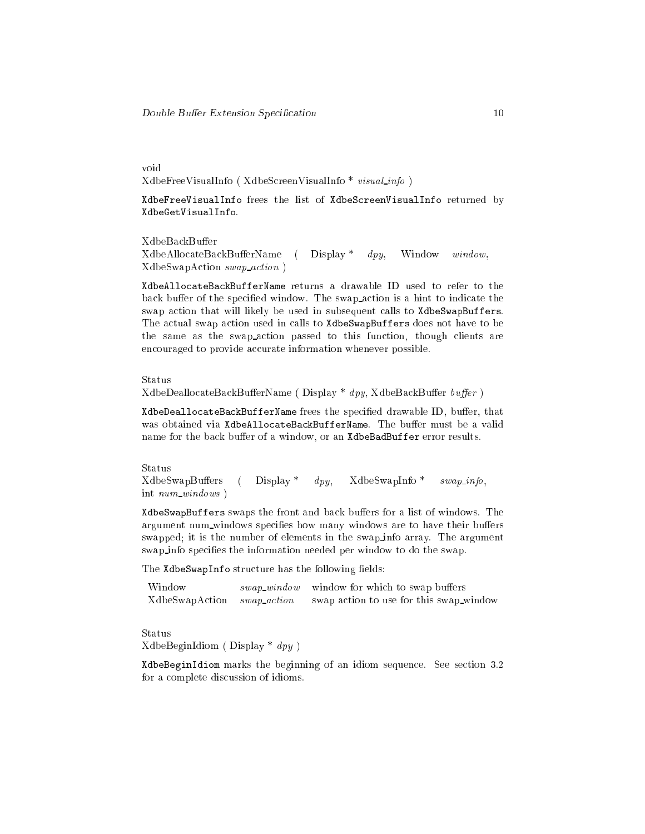void XdbeFreeVisualInfo ( XdbeScreenVisualInfo \* visual info )

XdbeFreeVisualInfo frees the list of XdbeScreenVisualInfo returned by

XdbeBackBuffer  $XdbeAllocateBackBufferName$  (Display \* dpy, Window window, XdbeSwapAction swap action )

XdbeAllocateBackBufferName returns a drawable ID used to refer to the back buffer of the specified window. The swap action is a hint to indicate the swap action that will likely be used in subsequent calls to XdbeSwapBuffers. The actual swap action used in calls to XdbeSwapBuffers does not have to be the same as the swap action passed to this function, though clients are encouraged to provide accurate information whenever possible.

Status

 $X$ dbeDeallocateBackBufferName (Display \* dpy, XdbeBackBuffer buffer)

XdbeDeallocateBackBufferName frees the specified drawable ID, buffer, that was obtained via XdbeAllocateBackBufferName. The buffer must be a valid name for the back buffer of a window, or an XdbeBadBuffer error results.

Status  $X$ dbeSwapBuffers ( Display \*  $dpy$ ,  $X$ dbeSwapInfo \*  $swap\_info$ , int num windows )

XdbeSwapBuffers swaps the front and back buffers for a list of windows. The argument num windows specifies how many windows are to have their buffers swapped; it is the number of elements in the swap info array. The argument swap info specifies the information needed per window to do the swap.

The XdbeSwapInfo structure has the following fields:

| Window                     | <i>swap_window</i> window for which to swap buffers |
|----------------------------|-----------------------------------------------------|
| XdbeSwapAction swap_action | swap action to use for this swap_window             |

Status XdbeBeginIdiom (Display  $*$  dpy)

XdbeBeginIdiom marks the beginning of an idiom sequence. See section 3.2 for a complete discussion of idioms.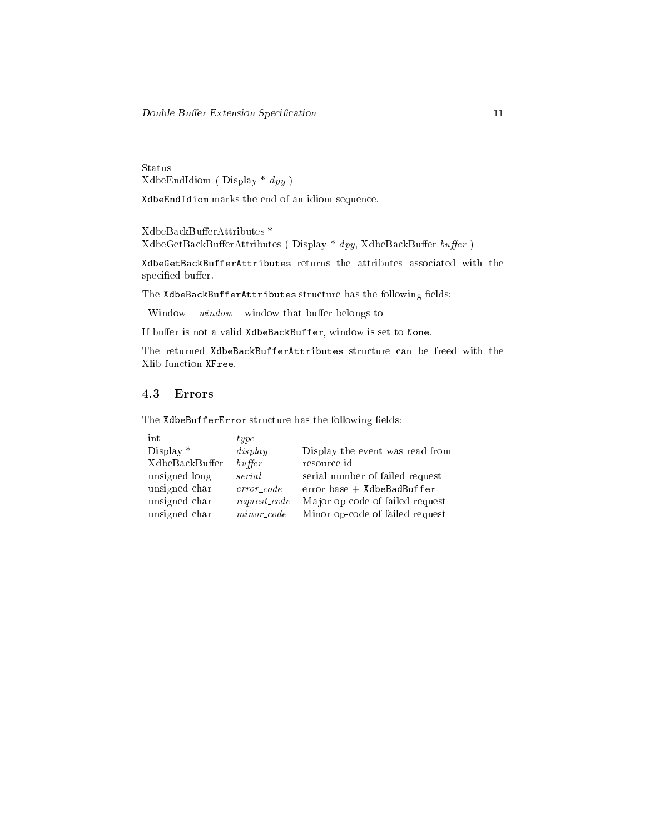Status XdbeEndIdiom (Display  $*$  dpy)

XdbeEndIdiom marks the end of an idiom sequence.

```
XdbeBackBufferAttributes *\operatorname{XdbeGetBackBufferAttributes} ( \operatorname{Display} * \operatorname{dpy}, \operatorname{XdbeBackBuffer} \operatorname{buffer} )
```
XdbeGetBackBufferAttributes returns the attributes associated with the specified buffer.

The XdbeBackBufferAttributes structure has the following fields:

Window  $window$  window that buffer belongs to

If buffer is not a valid XdbeBackBuffer, window is set to None.

The returned XdbeBackBufferAttributes structure can be freed with the Xlib function XFree.

## 4.3 Errors

The XdbeBufferError structure has the following fields:

| int            | type          |                                 |
|----------------|---------------|---------------------------------|
| Display $*$    | display       | Display the event was read from |
| XdbeBackBuffer | buffer        | resource id                     |
| unsigned long  | serial        | serial number of failed request |
| unsigned char  | error_code    | $error base + XdbeBadBuffer$    |
| unsigned char  | request_code  | Major op-code of failed request |
| unsigned char  | $minor\_code$ | Minor op-code of failed request |